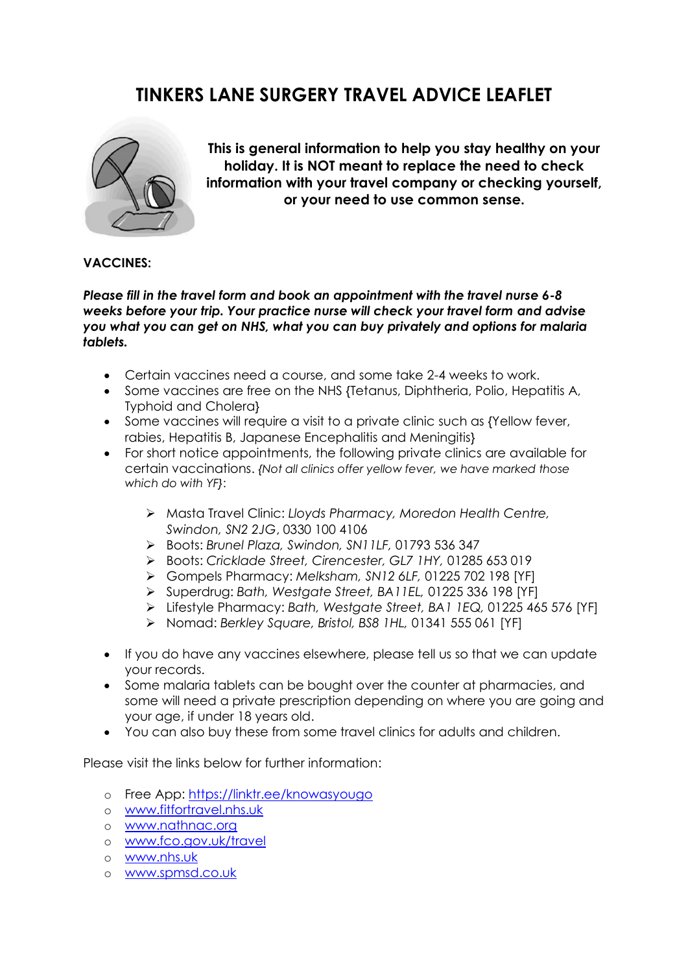# **TINKERS LANE SURGERY TRAVEL ADVICE LEAFLET**



**This is general information to help you stay healthy on your holiday. It is NOT meant to replace the need to check information with your travel company or checking yourself, or your need to use common sense.** 

#### **VACCINES:**

*Please fill in the travel form and book an appointment with the travel nurse 6-8 weeks before your trip. Your practice nurse will check your travel form and advise you what you can get on NHS, what you can buy privately and options for malaria tablets.* 

- Certain vaccines need a course, and some take 2-4 weeks to work.
- Some vaccines are free on the NHS {Tetanus, Diphtheria, Polio, Hepatitis A, Typhoid and Cholera}
- Some vaccines will require a visit to a private clinic such as {Yellow fever, rabies, Hepatitis B, Japanese Encephalitis and Meningitis}
- For short notice appointments, the following private clinics are available for certain vaccinations. *{Not all clinics offer yellow fever, we have marked those which do with YF}*:
	- ➢ Masta Travel Clinic: *Lloyds Pharmacy, Moredon Health Centre, Swindon, SN2 2JG*, 0330 100 4106
	- ➢ Boots: *Brunel Plaza, Swindon, SN11LF,* 01793 536 347
	- ➢ Boots: *Cricklade Street, Cirencester, GL7 1HY,* 01285 653 019
	- ➢ Gompels Pharmacy: *Melksham, SN12 6LF,* 01225 702 198 [YF]
	- ➢ Superdrug: *Bath, Westgate Street, BA11EL,* 01225 336 198 [YF]
	- ➢ Lifestyle Pharmacy: *Bath, Westgate Street, BA1 1EQ,* 01225 465 576 [YF]
	- ➢ Nomad: *Berkley Square, Bristol, BS8 1HL,* 01341 555 061 [YF]
- If you do have any vaccines elsewhere, please tell us so that we can update your records.
- Some malaria tablets can be bought over the counter at pharmacies, and some will need a private prescription depending on where you are going and your age, if under 18 years old.
- You can also buy these from some travel clinics for adults and children.

Please visit the links below for further information:

- o Free App:<https://linktr.ee/knowasyougo>
- o [www.fitfortravel.nhs.uk](http://www.fitfortravel.nhs.uk/)
- o [www.nathnac.org](http://www.nathnac.org/)
- o [www.fco.gov.uk/travel](http://www.fco.gov.uk/travel)
- o [www.nhs.uk](http://www.nhs.uk/)
- o [www.spmsd.co.uk](http://www.spmsd.co.uk/)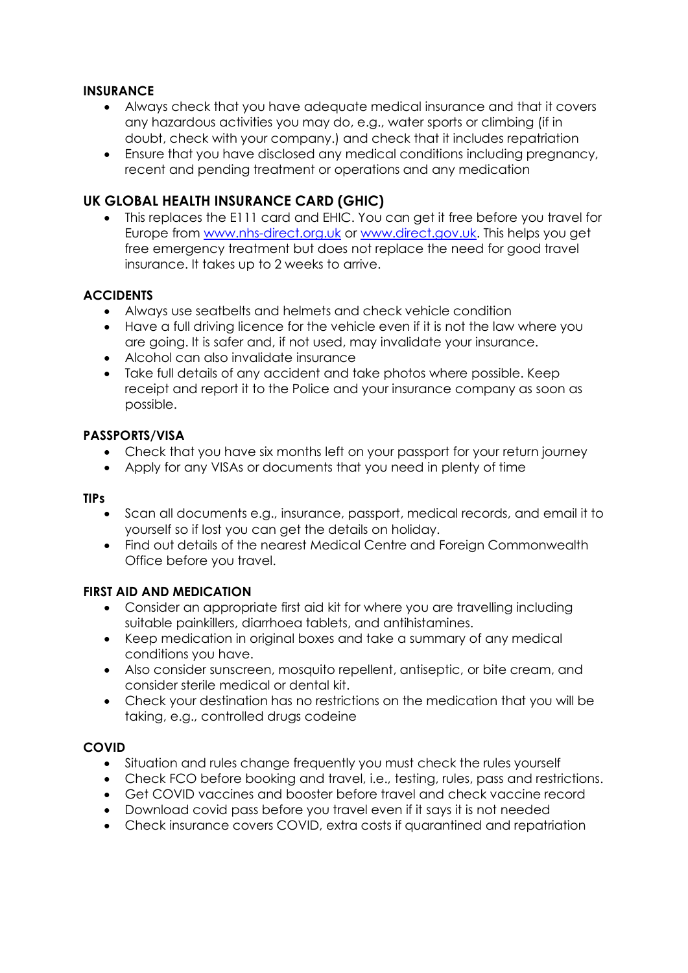## **INSURANCE**

- Always check that you have adequate medical insurance and that it covers any hazardous activities you may do, e.g., water sports or climbing (if in doubt, check with your company.) and check that it includes repatriation
- Ensure that you have disclosed any medical conditions including pregnancy, recent and pending treatment or operations and any medication

# **UK GLOBAL HEALTH INSURANCE CARD (GHIC)**

• This replaces the E111 card and EHIC. You can get it free before you travel for Europe from [www.nhs-direct.org.uk](http://www.nhs-direct.org.uk/) or [www.direct.gov.uk.](http://www.direct.gov.uk/) This helps you get free emergency treatment but does not replace the need for good travel insurance. It takes up to 2 weeks to arrive.

## **ACCIDENTS**

- Always use seatbelts and helmets and check vehicle condition
- Have a full driving licence for the vehicle even if it is not the law where you are going. It is safer and, if not used, may invalidate your insurance.
- Alcohol can also invalidate insurance
- Take full details of any accident and take photos where possible. Keep receipt and report it to the Police and your insurance company as soon as possible.

#### **PASSPORTS/VISA**

- Check that you have six months left on your passport for your return journey
- Apply for any VISAs or documents that you need in plenty of time

#### **TIPs**

- Scan all documents e.g., insurance, passport, medical records, and email it to yourself so if lost you can get the details on holiday.
- Find out details of the nearest Medical Centre and Foreign Commonwealth Office before you travel.

## **FIRST AID AND MEDICATION**

- Consider an appropriate first aid kit for where you are travelling including suitable painkillers, diarrhoea tablets, and antihistamines.
- Keep medication in original boxes and take a summary of any medical conditions you have.
- Also consider sunscreen, mosquito repellent, antiseptic, or bite cream, and consider sterile medical or dental kit.
- Check your destination has no restrictions on the medication that you will be taking, e.g., controlled drugs codeine

## **COVID**

- Situation and rules change frequently you must check the rules yourself
- Check FCO before booking and travel, i.e., testing, rules, pass and restrictions.
- Get COVID vaccines and booster before travel and check vaccine record
- Download covid pass before you travel even if it says it is not needed
- Check insurance covers COVID, extra costs if quarantined and repatriation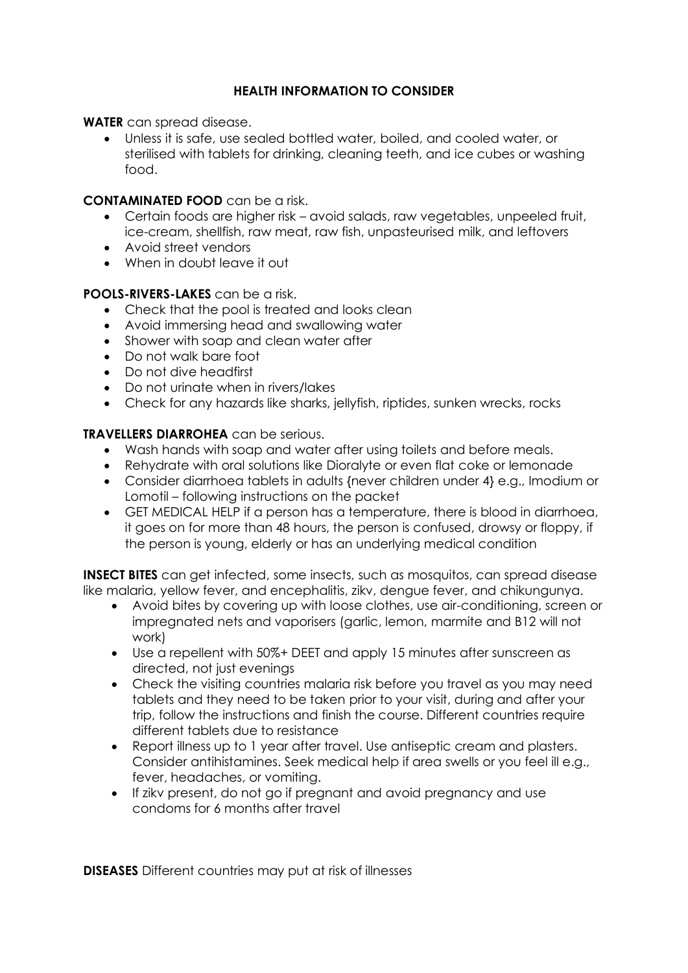# **HEALTH INFORMATION TO CONSIDER**

**WATER** can spread disease.

• Unless it is safe, use sealed bottled water, boiled, and cooled water, or sterilised with tablets for drinking, cleaning teeth, and ice cubes or washing food.

#### **CONTAMINATED FOOD** can be a risk.

- Certain foods are higher risk avoid salads, raw vegetables, unpeeled fruit, ice-cream, shellfish, raw meat, raw fish, unpasteurised milk, and leftovers
- Avoid street vendors
- When in doubt leave it out

#### **POOLS-RIVERS-LAKES** can be a risk.

- Check that the pool is treated and looks clean
- Avoid immersing head and swallowing water
- Shower with soap and clean water after
- Do not walk bare foot
- Do not dive headfirst
- Do not urinate when in rivers/lakes
- Check for any hazards like sharks, jellyfish, riptides, sunken wrecks, rocks

#### **TRAVELLERS DIARROHEA** can be serious.

- Wash hands with soap and water after using toilets and before meals.
- Rehydrate with oral solutions like Dioralyte or even flat coke or lemonade
- Consider diarrhoea tablets in adults {never children under 4} e.g., Imodium or Lomotil – following instructions on the packet
- GET MEDICAL HELP if a person has a temperature, there is blood in diarrhoea, it goes on for more than 48 hours, the person is confused, drowsy or floppy, if the person is young, elderly or has an underlying medical condition

**INSECT BITES** can get infected, some insects, such as mosquitos, can spread disease like malaria, yellow fever, and encephalitis, zikv, dengue fever, and chikungunya.

- Avoid bites by covering up with loose clothes, use air-conditioning, screen or impregnated nets and vaporisers (garlic, lemon, marmite and B12 will not work)
- Use a repellent with 50%+ DEET and apply 15 minutes after sunscreen as directed, not just evenings
- Check the visiting countries malaria risk before you travel as you may need tablets and they need to be taken prior to your visit, during and after your trip, follow the instructions and finish the course. Different countries require different tablets due to resistance
- Report illness up to 1 year after travel. Use antiseptic cream and plasters. Consider antihistamines. Seek medical help if area swells or you feel ill e.g., fever, headaches, or vomiting.
- If zikv present, do not go if pregnant and avoid pregnancy and use condoms for 6 months after travel

**DISEASES** Different countries may put at risk of illnesses